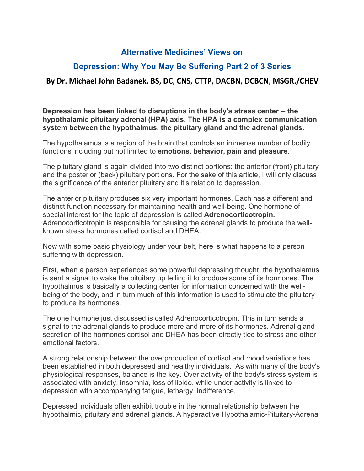## **Alternative Medicines' Views on**

## **Depression: Why You May Be Suffering Part 2 of 3 Series**

## **By Dr. Michael John Badanek, BS, DC, CNS, CTTP, DACBN, DCBCN, MSGR./CHEV**

**Depression has been linked to disruptions in the body's stress center --the hypothalamic pituitary adrenal (HPA) axis. The HPA is a complex communication system between the hypothalmus, the pituitary gland and the adrenal glands.**

The hypothalamus is a region of the brain that controls an immense number of bodily functions including but not limited to **emotions, behavior, pain and pleasure**.

The pituitary gland is again divided into two distinct portions: the anterior (front) pituitary and the posterior (back) pituitary portions. For the sake of this article, I will only discuss the significance of the anterior pituitary and it's relation to depression.

The anterior pituitary produces six very important hormones. Each has a different and distinct function necessary for maintaining health and well-being. One hormone of special interest for the topic of depression is called **Adrenocorticotropin.** Adrenocorticotropin is responsible for causing the adrenal glands to produce the well known stress hormones called cortisol and DHEA.

Now with some basic physiology under your belt, here is what happens to a person suffering with depression.

First, when a person experiences some powerful depressing thought, the hypothalamus is sent a signal to wake the pituitary up telling it to produce some of its hormones. The hypothalmus is basically a collecting center for information concerned with the well being of the body, and in turn much of this information is used to stimulate the pituitary to produce its hormones.

The one hormone just discussed is called Adrenocorticotropin. This in turn sends a signal to the adrenal glands to produce more and more of its hormones. Adrenal gland secretion of the hormones cortisol and DHEA has been directly tied to stress and other emotional factors.

A strong relationship between the overproduction of cortisol and mood variations has been established in both depressed and healthy individuals. As with many of the body's physiological responses, balance is the key. Over activity of the body's stress system is associated with anxiety, insomnia, loss of libido, while under activity is linked to depression with accompanying fatigue, lethargy, indifference.

Depressed individuals often exhibit trouble in the normal relationship between the hypothalmic, pituitary and adrenal glands. A hyperactive Hypothalamic-Pituitary-Adrenal